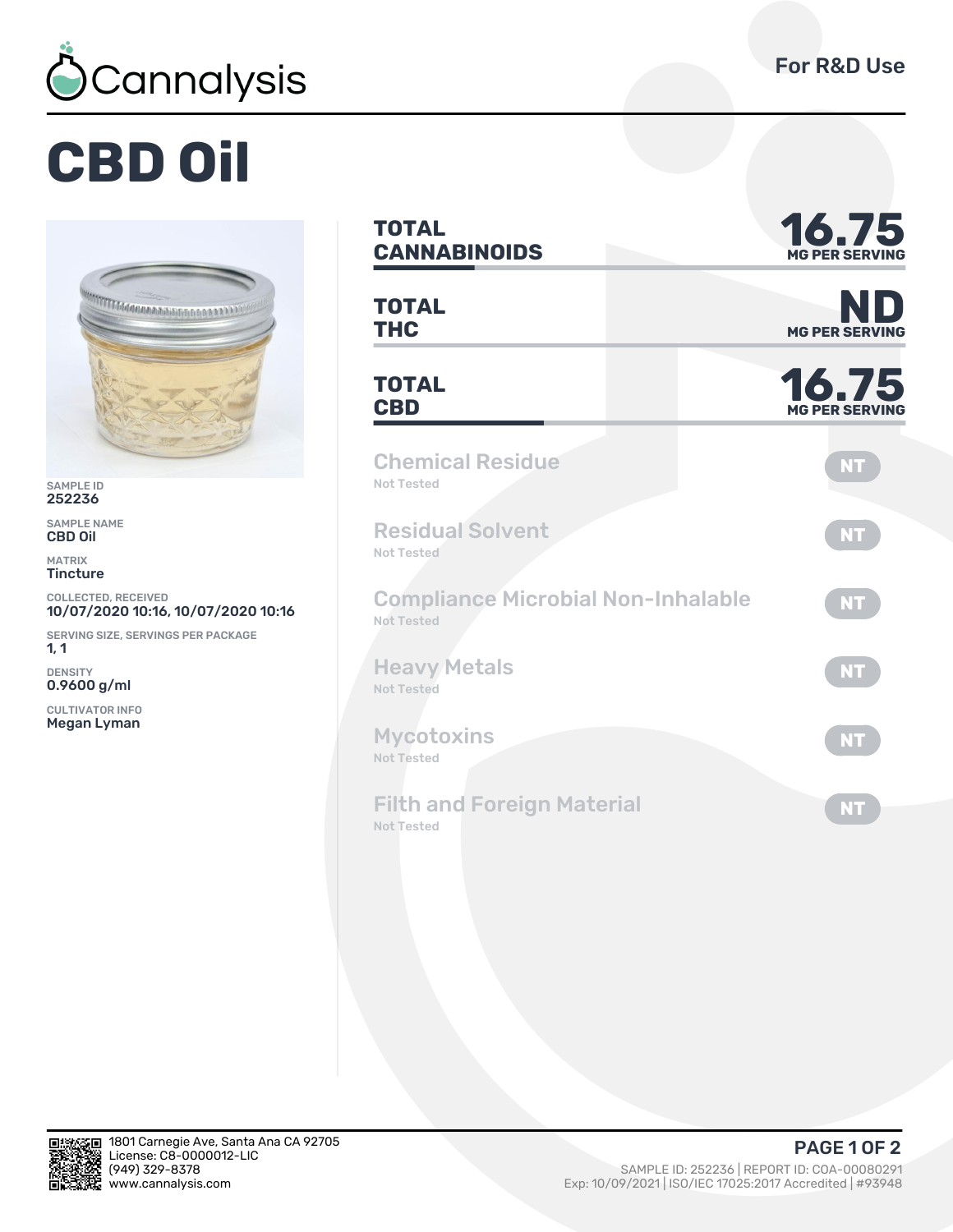

## **CBD Oil**



SAMPLE ID 252236

SAMPLE NAME CBD Oil

MATRIX **Tincture** 

COLLECTED, RECEIVED 10/07/2020 10:16, 10/07/2020 10:16

SERVING SIZE, SERVINGS PER PACKAGE 1, 1

DENSITY 0.9600 g/ml

CULTIVATOR INFO Megan Lyman

| <b>TOTAL</b><br><b>CANNABINOIDS</b>                            | 16.75<br><b>MG PER SERVING</b> |  |  |  |
|----------------------------------------------------------------|--------------------------------|--|--|--|
| <b>TOTAL</b><br><b>THC</b>                                     | ND<br><b>MG PER SERVING</b>    |  |  |  |
| <b>TOTAL</b><br><b>CBD</b>                                     | 16.75<br><b>MG PER SERVING</b> |  |  |  |
| <b>Chemical Residue</b><br><b>Not Tested</b>                   | <b>NT</b>                      |  |  |  |
| <b>Residual Solvent</b><br>Not Tested                          | <b>NT</b>                      |  |  |  |
| <b>Compliance Microbial Non-Inhalable</b><br><b>Not Tested</b> | NT.                            |  |  |  |
| <b>Heavy Metals</b><br><b>Not Tested</b>                       | <b>NT</b>                      |  |  |  |
| <b>Mycotoxins</b><br><b>Not Tested</b>                         | <b>NT</b>                      |  |  |  |

Filth and Foreign Material Not Tested



**NT**

(ȅȀȅ) ǿǾȅ-ȄǿȃȄ SAMPLE ID: ǾȁǾǾǿȂ | REPORT ID: COA-ǼǼǼȄǼǾȅǽ Exp: 10/09/2021 | ISO/IEC 17025:2017 Accredited | #93948